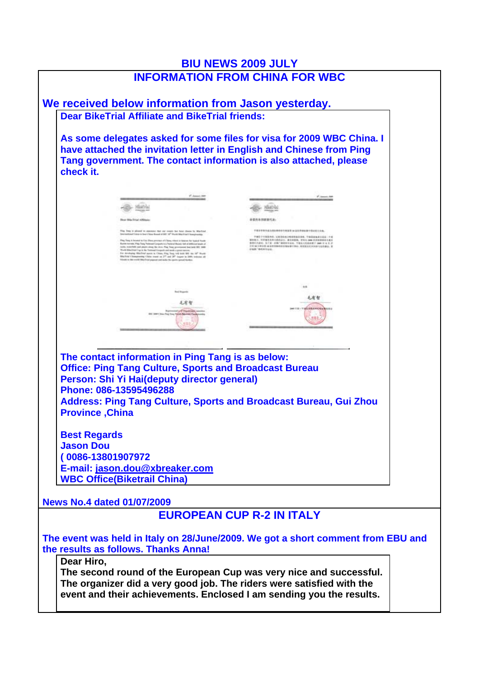|                                                                                        |                                                                                                                                                                                                                                                                                                                                                                                                                                                                                                                                                                                                                                                                                                                                                                                       | <b>BIU NEWS 2009 JULY</b><br><b>INFORMATION FROM CHINA FOR WBC</b>                                                                                                                                                                                           |  |
|----------------------------------------------------------------------------------------|---------------------------------------------------------------------------------------------------------------------------------------------------------------------------------------------------------------------------------------------------------------------------------------------------------------------------------------------------------------------------------------------------------------------------------------------------------------------------------------------------------------------------------------------------------------------------------------------------------------------------------------------------------------------------------------------------------------------------------------------------------------------------------------|--------------------------------------------------------------------------------------------------------------------------------------------------------------------------------------------------------------------------------------------------------------|--|
|                                                                                        |                                                                                                                                                                                                                                                                                                                                                                                                                                                                                                                                                                                                                                                                                                                                                                                       |                                                                                                                                                                                                                                                              |  |
|                                                                                        | We received below information from Jason yesterday.<br><b>Dear BikeTrial Affiliate and BikeTrial friends:</b>                                                                                                                                                                                                                                                                                                                                                                                                                                                                                                                                                                                                                                                                         |                                                                                                                                                                                                                                                              |  |
| check it.                                                                              |                                                                                                                                                                                                                                                                                                                                                                                                                                                                                                                                                                                                                                                                                                                                                                                       | As some delegates asked for some files for visa for 2009 WBC China. I<br>have attached the invitation letter in English and Chinese from Ping<br>Tang government. The contact information is also attached, please                                           |  |
|                                                                                        | <b>C. James SAN</b>                                                                                                                                                                                                                                                                                                                                                                                                                                                                                                                                                                                                                                                                                                                                                                   | P. Januari, 34                                                                                                                                                                                                                                               |  |
|                                                                                        | <b>Ministrial</b>                                                                                                                                                                                                                                                                                                                                                                                                                                                                                                                                                                                                                                                                                                                                                                     | <b>STACHA</b>                                                                                                                                                                                                                                                |  |
|                                                                                        | <b>Bear Bike Trial Affiliate</b>                                                                                                                                                                                                                                                                                                                                                                                                                                                                                                                                                                                                                                                                                                                                                      | 新管内各国建银代表:                                                                                                                                                                                                                                                   |  |
|                                                                                        | I find in pleased to assessed that our eventy but hour che<br>band Chainsie for Down a Down Bureaux and \$920". All <sup>45</sup> Mounts (\$94.2 First \$1.0 percent contains<br>to Tony is known in the Plan process of Clave when is began for types from<br>Rowsell Arrests. Play, Type, Transact Company in a Postered Bluesty Individual Interact Angel of<br>tehn, wangchicht and plaats straig Har stree. Plag Sing generaansal bad ladd 201, 2009<br>World MALEIGET by it the Transmal Cooperat and most a great service.<br>For involving Miscline space in Chies, Fing Tony will state \$62 out 10" Munic<br>Blackset Changesamp Chine count on 27" and 28" toques in 2004 tensors all<br>Trimmits to this truth) (Rike Ethel pages at and make the species spread Hartbook | 不用求实等多或为其以事的事务规定要 10 公司资格检查生活记录生存表<br>学部员于行程等外系, 以此生的成分电影等级长身体。于地区是地质公司企业一个美<br>WHEN, TOWARASAN CARLO MANER, MAIN DAN EXHIBITION CAR<br>新型15人结合、为了适一些角广播的电节运动、节编以人机构和维护 Jane 31 & 0 31<br>CE SE   中心名 M 法世界的地位主催服务行为公, 有限国王式共同参与法典表示, 第<br><b>CARTROLLUL</b> |  |
|                                                                                        | <b>Red Rogeritt</b>                                                                                                                                                                                                                                                                                                                                                                                                                                                                                                                                                                                                                                                                                                                                                                   | ыs                                                                                                                                                                                                                                                           |  |
|                                                                                        | 毛有智<br><b>M. Rakolski, J.V.</b>                                                                                                                                                                                                                                                                                                                                                                                                                                                                                                                                                                                                                                                                                                                                                       | 毛有智<br><b>GRAHAGA</b>                                                                                                                                                                                                                                        |  |
| <b>Province, China</b><br><b>Best Regards</b><br><b>Jason Dou</b><br>(0086-13801907972 | The contact information in Ping Tang is as below:<br><b>Office: Ping Tang Culture, Sports and Broadcast Bureau</b><br>Person: Shi Yi Hai(deputy director general)<br>Phone: 086-13595496288<br>E-mail: jason.dou@xbreaker.com                                                                                                                                                                                                                                                                                                                                                                                                                                                                                                                                                         | <b>Address: Ping Tang Culture, Sports and Broadcast Bureau, Gui Zhou</b>                                                                                                                                                                                     |  |
|                                                                                        | <b>WBC Office(Biketrail China)</b>                                                                                                                                                                                                                                                                                                                                                                                                                                                                                                                                                                                                                                                                                                                                                    |                                                                                                                                                                                                                                                              |  |
| <b>News No.4 dated 01/07/2009</b>                                                      |                                                                                                                                                                                                                                                                                                                                                                                                                                                                                                                                                                                                                                                                                                                                                                                       |                                                                                                                                                                                                                                                              |  |
|                                                                                        |                                                                                                                                                                                                                                                                                                                                                                                                                                                                                                                                                                                                                                                                                                                                                                                       | <b>EUROPEAN CUP R-2 IN ITALY</b>                                                                                                                                                                                                                             |  |
|                                                                                        | the results as follows. Thanks Anna!                                                                                                                                                                                                                                                                                                                                                                                                                                                                                                                                                                                                                                                                                                                                                  | The event was held in Italy on 28/June/2009. We got a short comment from EBU and                                                                                                                                                                             |  |
| Dear Hiro,                                                                             |                                                                                                                                                                                                                                                                                                                                                                                                                                                                                                                                                                                                                                                                                                                                                                                       | The second round of the European Cup was very nice and successful.<br>The organizer did a very good job. The riders were satisfied with the<br>event and their achievements. Enclosed I am sending you the results.                                          |  |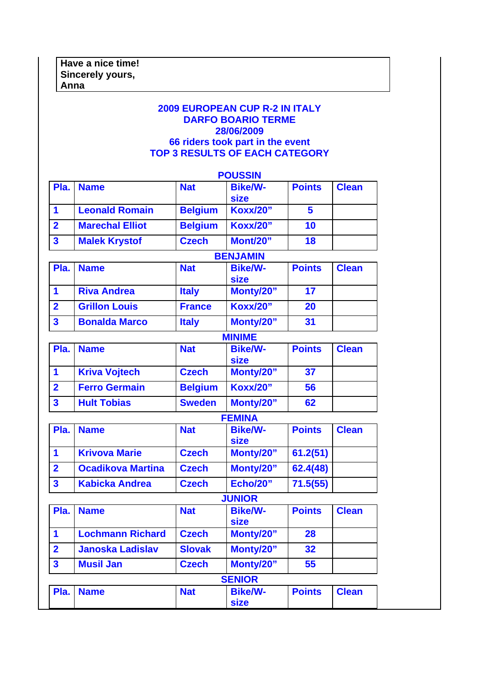## **2009 EUROPEAN CUP R-2 IN ITALY DARFO BOARIO TERME 28/06/2009 66 riders took part in the event TOP 3 RESULTS OF EACH CATEGORY**

|                         |                          |                | <b>POUSSIN</b>                |               |              |
|-------------------------|--------------------------|----------------|-------------------------------|---------------|--------------|
| Pla.                    | <b>Name</b>              | <b>Nat</b>     | <b>Bike/W-</b><br><b>size</b> | <b>Points</b> | <b>Clean</b> |
| 1                       | <b>Leonald Romain</b>    | <b>Belgium</b> | <b>Koxx/20"</b>               | 5             |              |
| $\overline{2}$          | <b>Marechal Elliot</b>   | <b>Belgium</b> | <b>Koxx/20"</b>               | 10            |              |
| $\overline{\mathbf{3}}$ | <b>Malek Krystof</b>     | <b>Czech</b>   | Mont/20"                      | 18            |              |
|                         |                          |                | <b>BENJAMIN</b>               |               |              |
| Pla.                    | <b>Name</b>              | <b>Nat</b>     | <b>Bike/W-</b><br><b>size</b> | <b>Points</b> | <b>Clean</b> |
| 1                       | <b>Riva Andrea</b>       | <b>Italy</b>   | Monty/20"                     | 17            |              |
| $\overline{2}$          | <b>Grillon Louis</b>     | <b>France</b>  | <b>Koxx/20"</b>               | 20            |              |
| $\overline{\mathbf{3}}$ | <b>Bonalda Marco</b>     | <b>Italy</b>   | Monty/20"                     | 31            |              |
|                         |                          |                | <b>MINIME</b>                 |               |              |
| Pla.                    | <b>Name</b>              | <b>Nat</b>     | <b>Bike/W-</b><br><b>size</b> | <b>Points</b> | <b>Clean</b> |
| 1                       | <b>Kriva Vojtech</b>     | <b>Czech</b>   | Monty/20"                     | 37            |              |
| $\overline{2}$          | <b>Ferro Germain</b>     | <b>Belgium</b> | <b>Koxx/20"</b>               | 56            |              |
| $\overline{\mathbf{3}}$ | <b>Hult Tobias</b>       | <b>Sweden</b>  | Monty/20"                     | 62            |              |
|                         |                          |                | <b>FEMINA</b>                 |               |              |
| Pla.                    | <b>Name</b>              | <b>Nat</b>     | <b>Bike/W-</b><br><b>size</b> | <b>Points</b> | <b>Clean</b> |
| 1                       | <b>Krivova Marie</b>     | <b>Czech</b>   | Monty/20"                     | 61.2(51)      |              |
| $\overline{2}$          | <b>Ocadikova Martina</b> | <b>Czech</b>   | Monty/20"                     | 62.4(48)      |              |
| $\overline{\mathbf{3}}$ | <b>Kabicka Andrea</b>    | <b>Czech</b>   | <b>Echo/20"</b>               | 71.5(55)      |              |
|                         |                          |                | <b>JUNIOR</b>                 |               |              |
| Pla.                    | <b>Name</b>              | <b>Nat</b>     | <b>Bike/W-</b><br><b>size</b> | <b>Points</b> | <b>Clean</b> |
| 1                       | <b>Lochmann Richard</b>  | <b>Czech</b>   | Monty/20"                     | 28            |              |
| $\overline{2}$          | <b>Janoska Ladislav</b>  | <b>Slovak</b>  | Monty/20"                     | 32            |              |
| $\mathbf{3}$            | <b>Musil Jan</b>         | <b>Czech</b>   | Monty/20"                     | 55            |              |
|                         |                          |                | <b>SENIOR</b>                 |               |              |
| Pla.                    | <b>Name</b>              | <b>Nat</b>     | <b>Bike/W-</b><br><b>size</b> | <b>Points</b> | <b>Clean</b> |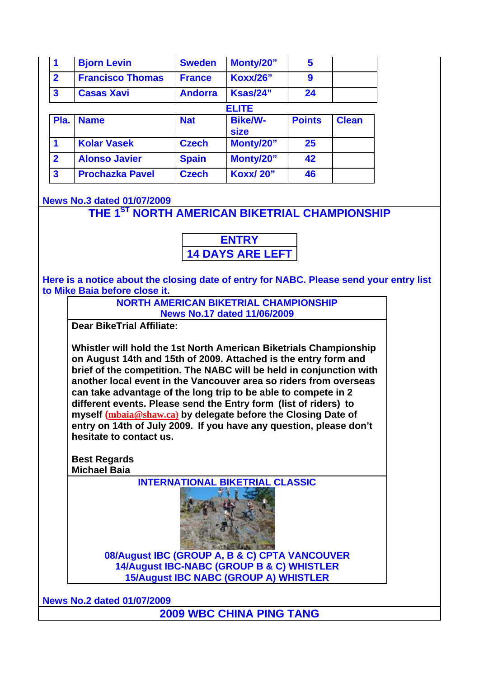| 1                       | <b>Bjorn Levin</b>      | <b>Sweden</b>  | Monty/20"                     | 5             |              |
|-------------------------|-------------------------|----------------|-------------------------------|---------------|--------------|
| $\overline{2}$          | <b>Francisco Thomas</b> | <b>France</b>  | <b>Koxx/26"</b>               | 9             |              |
| $\overline{\mathbf{3}}$ | <b>Casas Xavi</b>       | <b>Andorra</b> | Ksas/24"                      | 24            |              |
|                         |                         |                | <b>ELITE</b>                  |               |              |
| Pla.                    | <b>Name</b>             | <b>Nat</b>     | <b>Bike/W-</b><br><b>size</b> | <b>Points</b> | <b>Clean</b> |
| 1                       | <b>Kolar Vasek</b>      | <b>Czech</b>   | Monty/20"                     | 25            |              |
| $\overline{2}$          | <b>Alonso Javier</b>    | <b>Spain</b>   | Monty/20"                     | 42            |              |
| $\overline{\mathbf{3}}$ | <b>Prochazka Pavel</b>  | <b>Czech</b>   | <b>Koxx/20"</b>               | 46            |              |

## **News No.3 dated 01/07/2009**

**THE 1ST NORTH AMERICAN BIKETRIAL CHAMPIONSHIP**

**ENTRY 14 DAYS ARE LEFT**

**Here is a notice about the closing date of entry for NABC. Please send your entry list to Mike Baia before close it.**

> **NORTH AMERICAN BIKETRIAL CHAMPIONSHIP News No.17 dated 11/06/2009**

**Dear BikeTrial Affiliate:**

**Whistler will hold the 1st North American Biketrials Championship on August 14th and 15th of 2009. Attached is the entry form and brief of the competition. The NABC will be held in conjunction with another local event in the Vancouver area so riders from overseas can take advantage of the long trip to be able to compete in 2 different events. Please send the Entry form (list of riders) to myself (mbaia@shaw.ca) by delegate before the Closing Date of entry on 14th of July 2009. If you have any question, please don't hesitate to contact us.**

**Best Regards Michael Baia**

**INTERNATIONAL BIKETRIAL CLASSIC**



**08/August IBC (GROUP A, B & C) CPTA VANCOUVER 14/August IBC-NABC (GROUP B & C) WHISTLER 15/August IBC NABC (GROUP A) WHISTLER**

**News No.2 dated 01/07/2009**

**2009 WBC CHINA PING TANG**